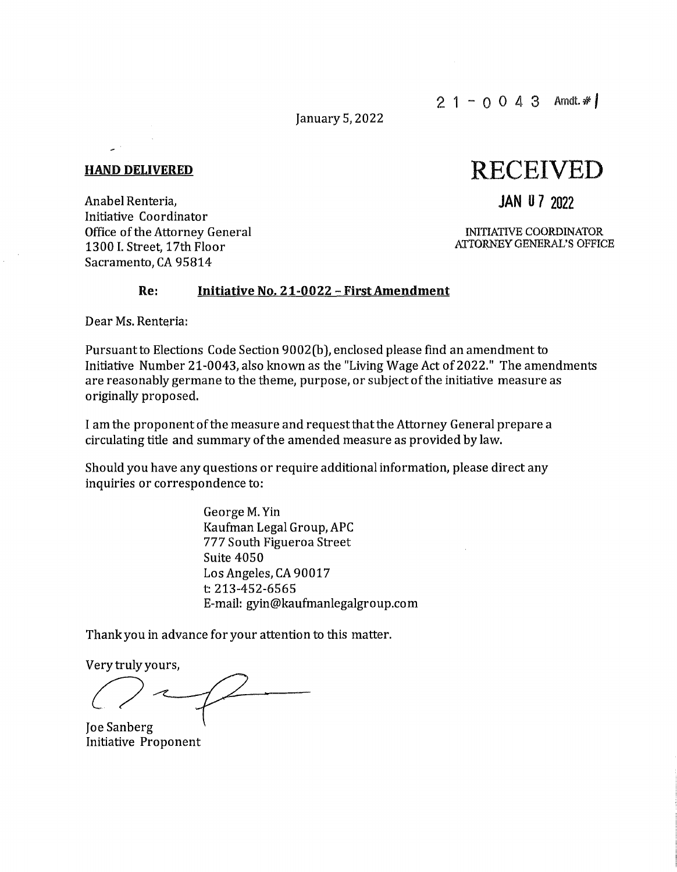January 5, 2022

#### **HAND DELIVERED**

Anabel Renteria, Initiative Coordinator Office of the Attorney General 1300 I. Street, 17th Floor Sacramento, CA 95814

# RECEIVED

# **JAN O** 7 2022

INITIATIVE COORDINATOR ATTORNEY GENERAL'S OFFICE

## **Re: Initiative No. 21-0022 -FirstAmendment**

Dear Ms. Renteria:

Pursuant to Elections Code Section 9002(b), enclosed please find an amendment to Initiative Number 21-0043, also known as the "Living Wage Act of 2022." The amendments are reasonably germane to the theme, purpose, or subject of the initiative measure as originally proposed.

I am the proponent of the measure and request that the Attorney General prepare a circulating title and summary of the amended measure as provided by law.

Should you have any questions or require additional information, please direct any inquiries or correspondence to:

> George M. Yin Kaufman Legal Group, APC 777 South Figueroa Street Suite 4050 Los Angeles, CA 90017 t: 213-452-6565 E-mail: gyin@kaufmanlegalgroup.com

Thank you in advance for your attention to this matter.

Very truly yours,

 $\bigg($ 

Joe Sanberg Initiative Proponent

 $2 1 - 0 0 4 3$  Amdt.  $\#$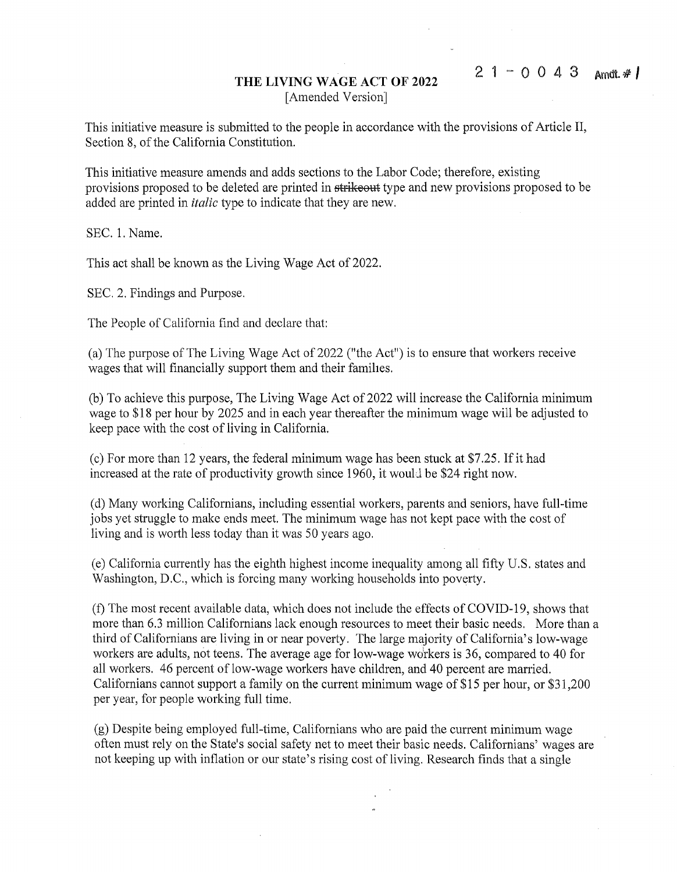### **THE LIVING WAGE ACT OF 2022**  [Amended Version]

This initiative measure is submitted to the people in accordance with the provisions of Article II, Section 8, of the California Constitution.

This initiative measure amends and adds sections to the Labor Code; therefore, existing provisions proposed to be deleted are printed in strikeout type and new provisions proposed to be added are printed in *italic* type to indicate that they are new.

SEC. 1. Name.

This act shall be known as the Living Wage Act of 2022.

SEC. 2. Findings and Purpose.

The People of California find and declare that:

(a) The purpose of The Living Wage Act of 2022 ("the Act") is to ensure that workers receive wages that will financially support them and their famihes.

(b) To achieve this purpose, The Living Wage Act of 2022 will increase the California minimum wage to \$18 per hour by 2025 and in each year thereafter the minimum wage will be adjusted to keep pace with the cost of living in California.

(c) For more than 12 years, the federal minimum wage has been stuck at \$7.25. If it had increased at the rate of productivity growth since 1960, it would be \$24 right now.

(d) Many working Californians, including essential workers, parents and seniors, have full-time jobs yet struggle to make ends meet. The minimum wage has not kept pace with the cost of living and is worth less today than it was 50 years ago.

(e) California currently has the eighth highest income inequality among all fifty U.S. states and Washington, D.C., which is forcing many working households into poverty.

(f) The most recent available data, which does not include the effects of COVID-19, shows that more than 6.3 million Californians lack enough resources to meet their basic needs. More than a third of Californians are living in or near poverty. The large majority of California's low-wage workers are adults, not teens. The average age for low-wage wdrkers is 36, compared to 40 for all workers. 46 percent of low-wage workers have children, and 40 percent are married. Californians cannot support a family on the current minimum wage of \$15 per hour, or \$31,200 per year, for people working full time.

(g) Despite being employed full-time, Californians who are paid the current minimum wage often must rely on the State's social safety net to meet their basic needs. Californians' wages are not keeping up with inflation or our state's rising cost of living. Research finds that a single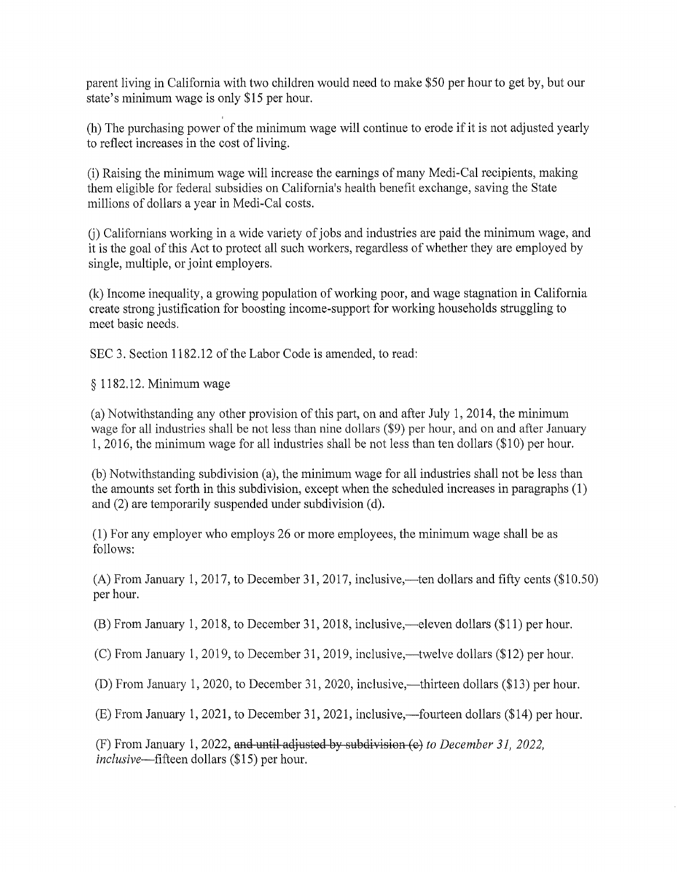parent living in California with two children would need to make \$50 per hour to get by, but our state's minimum wage is only \$15 per hour.

(h) The purchasing power of the minimum wage will continue to erode if it is not adjusted yearly to reflect increases in the cost of living.

(i) Raising the minimum wage will increase the earnings of many Medi-Cal recipients, making them eligible for federal subsidies on California's health benefit exchange, saving the State millions of dollars a year in Medi-Cal costs.

U) Californians working in a wide variety of jobs and industries are paid the minimum wage, and it is the goal of this Act to protect all such workers, regardless of whether they are employed by single, multiple, or joint employers.

(k) Income inequality, a growing population of working poor, and wage stagnation in California create strong justification for boosting income-support for working households struggling to meet basic needs.

SEC 3. Section 1182.12 of the Labor Code is amended, to read:

§ 1182.12. Minimum wage

(a) Notwithstanding any other provision of this part, on and after July 1, 2014, the minimum wage for all industries shall be not less than nine dollars (\$9) per hour, and on and after January 1, 2016, the minimum wage for all industries shall be not less than ten dollars (\$10) per hour.

(b) Notwithstanding subdivision (a), the minimum wage for all industries shall not be less than the amounts set forth in this subdivision, except when the scheduled increases in paragraphs (1) and (2) are temporarily suspended under subdivision (d).

(1) For any employer who employs 26 or more employees, the minimum wage shall be as follows:

(A) From January 1, 2017, to December 31, 2017, inclusive,—ten dollars and fifty cents  $(\$10.50)$ per hour.

 $(B)$  From January 1, 2018, to December 31, 2018, inclusive,—eleven dollars (\$11) per hour.

(C) From January 1, 2019, to December 31, 2019, inclusive,—twelve dollars (\$12) per hour.

(D) From January 1, 2020, to December 31, 2020, inclusive,—thirteen dollars (\$13) per hour.

 $(E)$  From January 1, 2021, to December 31, 2021, inclusive,—fourteen dollars (\$14) per hour.

(F) From January 1, 2022, and until adjusted by subdivision (o) *to December 31, 2022, inclusive-fifteen* dollars (\$15) per hour.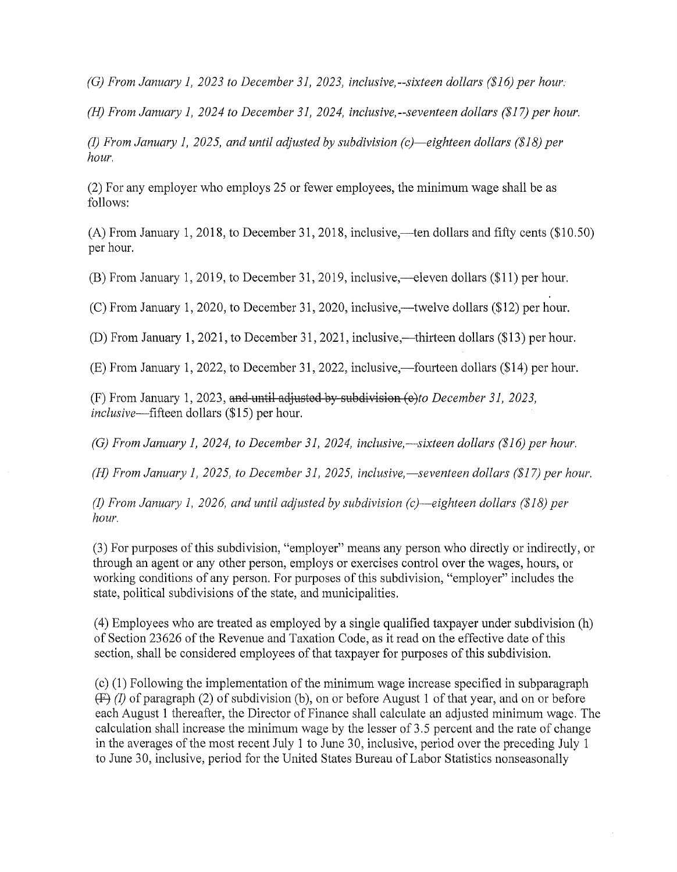*(G) From January 1, 2023 to December 31, 2023, inclusive,--sixteen dollars (\$16) per hour.* 

(H) *From January 1, 2024 to December 31, 2024, inclusive,--seventeen dollars (\$17) per hour.* 

*(I) From January 1, 2025, and until adjusted by subdivision (c)-eighteen dollars (\$18) per hour.* 

(2) For any employer who employs 25 or fewer employees, the minimum wage shall be as follows:

(A) From January 1, 2018, to December 31, 2018, inclusive,—ten dollars and fifty cents ( $$10.50$ ) per hour.

 $(B)$  From January 1, 2019, to December 31, 2019, inclusive,—eleven dollars (\$11) per hour.

(C) From January 1, 2020, to December 31, 2020, inclusive,—twelve dollars (\$12) per hour.

(D) From January 1, 2021, to December 31, 2021, inclusive,—thirteen dollars (\$13) per hour.

 $(E)$  From January 1, 2022, to December 31, 2022, inclusive,—fourteen dollars (\$14) per hour.

(F) From January 1, 2023, and until adjusted by subdivision *(c)to December 31, 2023, inclusive-fifteen* dollars (\$15) per hour.

*(G) From January 1, 2024, to December 31, 2024, inclusive,—sixteen dollars (\$16) per hour.* 

*(H) From January 1, 2025, to December 31, 2025, inclusive,—seventeen dollars (\$17) per hour.* 

*(1) From January 1, 2026, and until adjusted by subdivision (c)-eighteen dollars (\$18) per hour.* 

(3) For purposes of this subdivision, "employer" means any person who directly or indirectly, or through an agent or any other person, employs or exercises control over the wages, hours, or working conditions of any person. For purposes of this subdivision, "employer" includes the state, political subdivisions of the state, and municipalities.

(4) Employees who are treated as employed by a single qualified taxpayer under subdivision (h) of Section 23626 of the Revenue and Taxation Code, as it read on the effective date of this section, shall be considered employees of that taxpayer for purposes of this subdivision.

( c) (1) Following the implementation of the minimum wage increase specified in subparagraph  $(F)$  (I) of paragraph (2) of subdivision (b), on or before August 1 of that year, and on or before each August 1 thereafter, the Director of Finance shall calculate an adjusted minimum wage. The calculation shall increase the minimum wage by the lesser of 3 .5 percent and the rate of change in the averages of the most recent July 1 to June 30, inclusive, period over the preceding July 1 to June 30, inclusive, period for the United States Bureau of Labor Statistics nonseasonally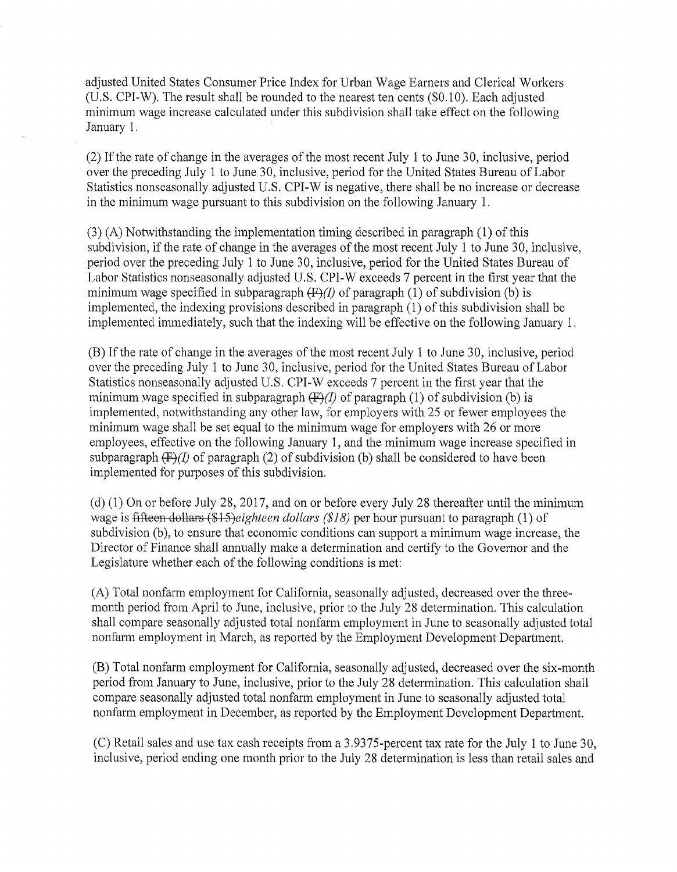adjusted United States Consumer Price Index for Urban Wage Earners and Clerical Workers (U.S. CPI-W). The result shall be rounded to the nearest ten cents (\$0.10). Each adjusted minimum wage increase calculated under this subdivision shall take effect on the following January 1.

(2) If the rate of change in the averages of the most recent July 1 to June 30, inclusive, period over the preceding July 1 to June 30, inclusive, period for the United States Bureau of Labor Statistics nonseasonally adjusted U.S. CPI-W is negative, there shall be no increase or decrease in the minimum wage pursuant to this subdivision on the following January 1.

(3) (A) Notwithstanding the implementation timing described in paragraph (1) of this subdivision, if the rate of change in the averages of the most recent July 1 to June 30, inclusive, period over the preceding July 1 to June 30, inclusive, period for the United States Bureau of Labor Statistics nonseasonally adjusted U.S. CPI-W exceeds 7 percent in the first year that the minimum wage specified in subparagraph  $(F)(I)$  of paragraph (1) of subdivision (b) is implemented, the indexing provisions described in paragraph (1) of this subdivision shall be implemented immediately, such that the indexing will be effective on the following January 1.

(B) If the rate of change in the averages of the most recent July 1 to June 30, inclusive, period over the preceding July 1 to June 30, inclusive, period for the United States Bureau of Labor Statistics nonseasonally adjusted U.S. CPI-W exceeds 7 percent in the first year that the minimum wage specified in subparagraph  $(F)(I)$  of paragraph (1) of subdivision (b) is implemented, notwithstanding any other law, for employers with 25 or fewer employees the minimum wage shall be set equal to the minimum wage for employers with 26 or more employees, effective on the following January 1, and the minimum wage increase specified in subparagraph  $(F)(I)$  of paragraph (2) of subdivision (b) shall be considered to have been implemented for purposes of this subdivision.

(d) (1) On or before July 28, 2017, and on or before every July 28 thereafter until the minimum wage is fifteen dollars (\$15)eighteen dollars (\$18) per hour pursuant to paragraph (1) of subdivision (b), to ensure that economic conditions can support a minimum wage increase, the Director of Finance shall annually make a determination and certify to the Governor and the Legislature whether each of the following conditions is met:

(A) Total nonfarm employment for California, seasonally adjusted, decreased over the threemonth period from April to June, inclusive, prior to the July 28 determination. This calculation shall compare seasonally adjusted total nonfarm employment in June to seasonally adjusted total nonfarm employment in March, as reported by the Employment Development Department.

(B) Total nonfarm employment for California, seasonally adjusted, decreased over the six-month period from January to June, inclusive, prior to the July 28 determination. This calculation shall compare seasonally adjusted total nonfarm employment in June to seasonally adjusted total nonfarm employment in December, as reported by the Employment Development Department.

(C) Retail sales and use tax cash receipts from a 3.9375-percent tax rate for the July 1 to June 30, inclusive, period ending one month prior to the July 28 determination is less than retail sales and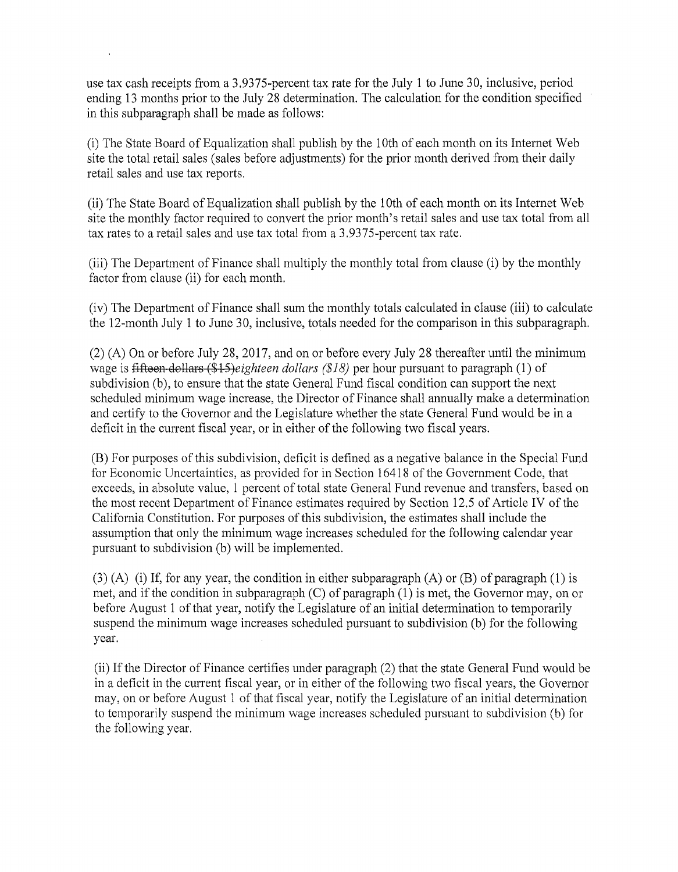use tax cash receipts from a 3.9375-percent tax rate for the July 1 to June 30, inclusive, period ending 13 months prior to the July 28 determination. The calculation for the condition specified in this subparagraph shall be made as follows:

(i) The State Board of Equalization shall publish by the 10th of each month on its Internet Web site the total retail sales (sales before adjustments) for the prior month derived from their daily retail sales and use tax reports.

(ii) The State Board of Equalization shall publish by the 10th of each month on its Internet Web site the monthly factor required to convert the prior month's retail sales and use tax total from all tax rates to a retail sales and use tax total from a 3.9375-percent tax rate.

(iii) The Department of Finance shall multiply the monthly total from clause (i) by the monthly factor from clause (ii) for each month.

(iv) The Department of Finance shall sum the monthly totals calculated in clause (iii) to calculate the 12-month July 1 to June 30, inclusive, totals needed for the comparison in this subparagraph.

(2) (A) On or before July 28, 2017, and on or before every July 28 thereafter until the minimum wage is fifteen dollars *(\$l5)eighteen dollars (\$18)* per hour pursuant to paragraph (1) of subdivision (b), to ensure that the state General Fund fiscal condition can support the next scheduled minimum wage increase, the Director of Finance shall annually make a determination and certify to the Governor and the Legislature whether the state General Fund would be in a deficit in the current fiscal year, or in either of the following two fiscal years.

(B) For purposes of this subdivision, deficit is defined as a negative balance in the Special Fund for Economic Uncertainties, as provided for in Section 16418 of the Government Code, that exceeds, in absolute value, 1 percent of total state General Fund revenue and transfers, based on the most recent Department of Finance estimates required by Section 12.5 of Article IV of the California Constitution. For purposes of this subdivision, the estimates shall include the assumption that only the minimum wage increases scheduled for the following calendar year pursuant to subdivision (b) will be implemented.

 $(3)$  (A) (i) If, for any year, the condition in either subparagraph (A) or (B) of paragraph (1) is met, and if the condition in subparagraph (C) of paragraph (1) is met, the Governor may, on or before August 1 of that year, notify the Legislature of an initial determination to temporarily suspend the minimum wage increases scheduled pursuant to subdivision (b) for the following year.

(ii) If the Director of Finance certifies under paragraph (2) that the state General Fund would be in a deficit in the current fiscal year, or in either of the following two fiscal years, the Governor may, on or before August 1 of that fiscal year, notify the Legislature of an initial determination to temporarily suspend the minimum wage increases scheduled pursuant to subdivision (b) for the following year.